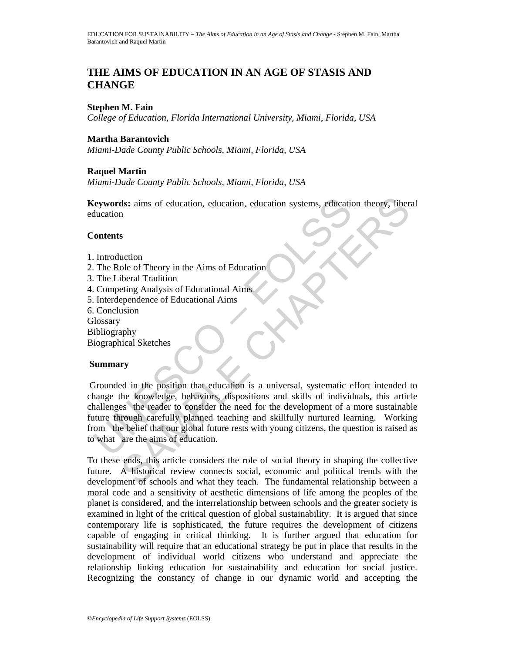# **THE AIMS OF EDUCATION IN AN AGE OF STASIS AND CHANGE**

## **Stephen M. Fain**

*College of Education, Florida International University, Miami, Florida, USA* 

## **Martha Barantovich**

*Miami-Dade County Public Schools, Miami, Florida, USA* 

## **Raquel Martin**

*Miami-Dade County Public Schools, Miami, Florida, USA* 

**Keywords:** aims of education, education, education systems, education theory, liberal education

## **Contents**

- 1. Introduction
- 2. The Role of Theory in the Aims of Education
- 3. The Liberal Tradition
- 4. Competing Analysis of Educational Aims
- 5. Interdependence of Educational Aims
- 6. Conclusion

**Glossary** 

- Bibliography
- Biographical Sketches

### **Summary**

Expression and Scheme to the Aims of education, education systems, education<br>
Unterstand University Contents<br>
Unterstand Tradition<br>
The Library Transform and Tradition<br>
Competing Analysis of Educational Aims<br>
Conclusion<br>
I ds: aims of education, education, education systems, education theory, liber<br>
a<br>
s<br>
s<br>
s<br>
s<br>
complement of Educational Aims<br>
ideal Tradition<br>
eing Analysis of Educational Aims<br>
ision<br>
phy<br>
phy<br>
phy<br>
dd in the position that Grounded in the position that education is a universal, systematic effort intended to change the knowledge, behaviors, dispositions and skills of individuals, this article challenges the reader to consider the need for the development of a more sustainable future through carefully planned teaching and skillfully nurtured learning. Working from the belief that our global future rests with young citizens, the question is raised as to what are the aims of education.

To these ends, this article considers the role of social theory in shaping the collective future. A historical review connects social, economic and political trends with the development of schools and what they teach. The fundamental relationship between a moral code and a sensitivity of aesthetic dimensions of life among the peoples of the planet is considered, and the interrelationship between schools and the greater society is examined in light of the critical question of global sustainability. It is argued that since contemporary life is sophisticated, the future requires the development of citizens capable of engaging in critical thinking. It is further argued that education for sustainability will require that an educational strategy be put in place that results in the development of individual world citizens who understand and appreciate the relationship linking education for sustainability and education for social justice. Recognizing the constancy of change in our dynamic world and accepting the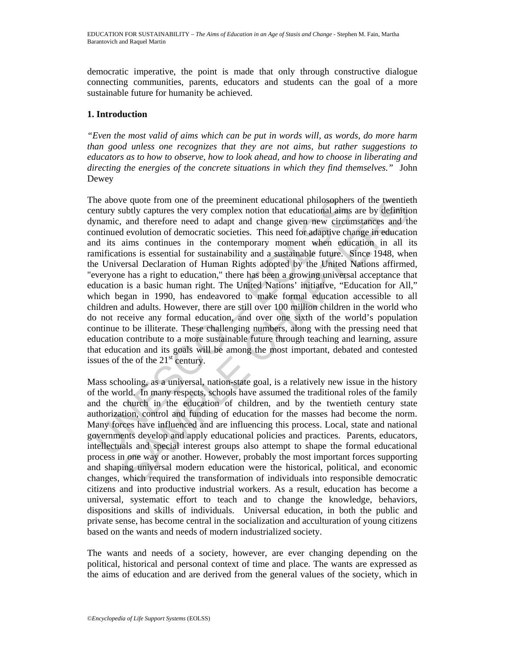democratic imperative, the point is made that only through constructive dialogue connecting communities, parents, educators and students can the goal of a more sustainable future for humanity be achieved.

## **1. Introduction**

*"Even the most valid of aims which can be put in words will, as words, do more harm than good unless one recognizes that they are not aims, but rather suggestions to educators as to how to observe, how to look ahead, and how to choose in liberating and directing the energies of the concrete situations in which they find themselves."* John Dewey

he above quote from one of the preeminent educational philosophers<br>nntury subtly captures the very complex notion that educational aims<br>ynamic, and therefore need to adapt and change given new circur-<br>nntinued evolution o ice quote from one of the preeminent educational philosophers of the twentiety chalus and the every complex notion that educational aims are by definitional and secured a substitution of democratic societies. This need for The above quote from one of the preeminent educational philosophers of the twentieth century subtly captures the very complex notion that educational aims are by definition dynamic, and therefore need to adapt and change given new circumstances and the continued evolution of democratic societies. This need for adaptive change in education and its aims continues in the contemporary moment when education in all its ramifications is essential for sustainability and a sustainable future. Since 1948, when the Universal Declaration of Human Rights adopted by the United Nations affirmed, "everyone has a right to education," there has been a growing universal acceptance that education is a basic human right. The United Nations' initiative, "Education for All," which began in 1990, has endeavored to make formal education accessible to all children and adults. However, there are still over 100 million children in the world who do not receive any formal education, and over one sixth of the world's population continue to be illiterate. These challenging numbers, along with the pressing need that education contribute to a more sustainable future through teaching and learning, assure that education and its goals will be among the most important, debated and contested issues of the of the  $21<sup>st</sup>$  century.

Mass schooling, as a universal, nation-state goal, is a relatively new issue in the history of the world. In many respects, schools have assumed the traditional roles of the family and the church in the education of children, and by the twentieth century state authorization, control and funding of education for the masses had become the norm. Many forces have influenced and are influencing this process. Local, state and national governments develop and apply educational policies and practices. Parents, educators, intellectuals and special interest groups also attempt to shape the formal educational process in one way or another. However, probably the most important forces supporting and shaping universal modern education were the historical, political, and economic changes, which required the transformation of individuals into responsible democratic citizens and into productive industrial workers. As a result, education has become a universal, systematic effort to teach and to change the knowledge, behaviors, dispositions and skills of individuals. Universal education, in both the public and private sense, has become central in the socialization and acculturation of young citizens based on the wants and needs of modern industrialized society.

The wants and needs of a society, however, are ever changing depending on the political, historical and personal context of time and place. The wants are expressed as the aims of education and are derived from the general values of the society, which in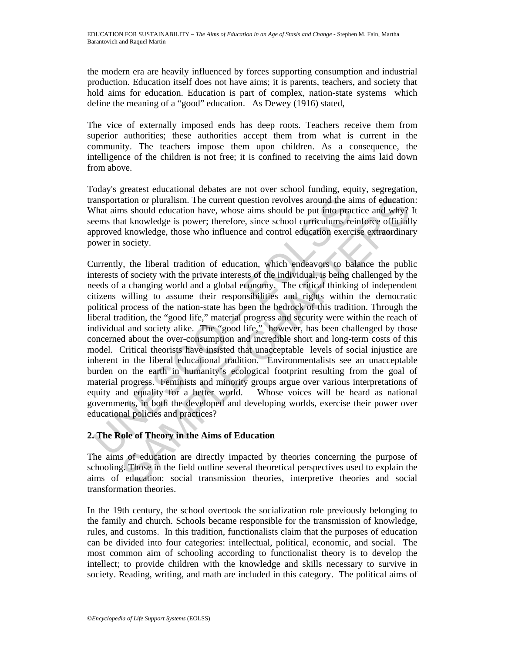the modern era are heavily influenced by forces supporting consumption and industrial production. Education itself does not have aims; it is parents, teachers, and society that hold aims for education. Education is part of complex, nation-state systems which define the meaning of a "good" education. As Dewey (1916) stated,

The vice of externally imposed ends has deep roots. Teachers receive them from superior authorities; these authorities accept them from what is current in the community. The teachers impose them upon children. As a consequence, the intelligence of the children is not free; it is confined to receiving the aims laid down from above.

Today's greatest educational debates are not over school funding, equity, segregation, transportation or pluralism. The current question revolves around the aims of education: What aims should education have, whose aims should be put into practice and why? It seems that knowledge is power; therefore, since school curriculums reinforce officially approved knowledge, those who influence and control education exercise extraordinary power in society.

ansportation or pluralism. The current question revolves around the aims should education have, whose aims should be put into pracems that knowledge is power; therefore, since school curriculums reception by approved knowl ation or pluralism. The current question revolves around the aims of education<br>ans holod education have, whose aims should be put into practice and why?<br>at knowledge is power, therefore, since school curriculums reinforce Currently, the liberal tradition of education, which endeavors to balance the public interests of society with the private interests of the individual, is being challenged by the needs of a changing world and a global economy. The critical thinking of independent citizens willing to assume their responsibilities and rights within the democratic political process of the nation-state has been the bedrock of this tradition. Through the liberal tradition, the "good life," material progress and security were within the reach of individual and society alike. The "good life," however, has been challenged by those concerned about the over-consumption and incredible short and long-term costs of this model. Critical theorists have insisted that unacceptable levels of social injustice are inherent in the liberal educational tradition. Environmentalists see an unacceptable burden on the earth in humanity's ecological footprint resulting from the goal of material progress. Feminists and minority groups argue over various interpretations of equity and equality for a better world. Whose voices will be heard as national governments, in both the developed and developing worlds, exercise their power over educational policies and practices?

# **2. The Role of Theory in the Aims of Education**

The aims of education are directly impacted by theories concerning the purpose of schooling. Those in the field outline several theoretical perspectives used to explain the aims of education: social transmission theories, interpretive theories and social transformation theories.

In the 19th century, the school overtook the socialization role previously belonging to the family and church. Schools became responsible for the transmission of knowledge, rules, and customs. In this tradition, functionalists claim that the purposes of education can be divided into four categories: intellectual, political, economic, and social. The most common aim of schooling according to functionalist theory is to develop the intellect; to provide children with the knowledge and skills necessary to survive in society. Reading, writing, and math are included in this category. The political aims of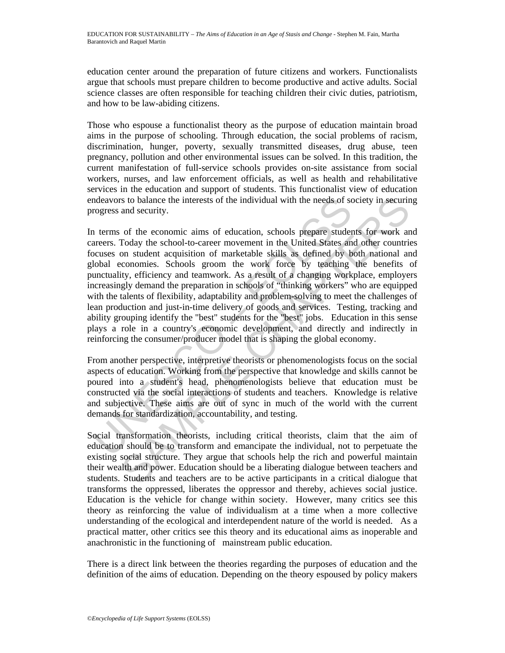education center around the preparation of future citizens and workers. Functionalists argue that schools must prepare children to become productive and active adults. Social science classes are often responsible for teaching children their civic duties, patriotism, and how to be law-abiding citizens.

Those who espouse a functionalist theory as the purpose of education maintain broad aims in the purpose of schooling. Through education, the social problems of racism, discrimination, hunger, poverty, sexually transmitted diseases, drug abuse, teen pregnancy, pollution and other environmental issues can be solved. In this tradition, the current manifestation of full-service schools provides on-site assistance from social workers, nurses, and law enforcement officials, as well as health and rehabilitative services in the education and support of students. This functionalist view of education endeavors to balance the interests of the individual with the needs of society in securing progress and security.

ndeavors to balance the interests of the individual with the needs of sc<br>cogress and security.<br>
1 terms of the economic aims of education, schools prepare studer<br>
arecrs. Today the school-to-career movement in the United S is to balance the interests of the individual with the needs of society in securin<br>and security.<br>
Of the economic aims of education, schools prepare students for work an<br>
Today the school-10-career movement in the United S In terms of the economic aims of education, schools prepare students for work and careers. Today the school-to-career movement in the United States and other countries focuses on student acquisition of marketable skills as defined by both national and global economies. Schools groom the work force by teaching the benefits of punctuality, efficiency and teamwork. As a result of a changing workplace, employers increasingly demand the preparation in schools of "thinking workers" who are equipped with the talents of flexibility, adaptability and problem-solving to meet the challenges of lean production and just-in-time delivery of goods and services. Testing, tracking and ability grouping identify the "best" students for the "best" jobs. Education in this sense plays a role in a country's economic development, and directly and indirectly in reinforcing the consumer/producer model that is shaping the global economy.

From another perspective, interpretive theorists or phenomenologists focus on the social aspects of education. Working from the perspective that knowledge and skills cannot be poured into a student's head, phenomenologists believe that education must be constructed via the social interactions of students and teachers. Knowledge is relative and subjective. These aims are out of sync in much of the world with the current demands for standardization, accountability, and testing.

Social transformation theorists, including critical theorists, claim that the aim of education should be to transform and emancipate the individual, not to perpetuate the existing social structure. They argue that schools help the rich and powerful maintain their wealth and power. Education should be a liberating dialogue between teachers and students. Students and teachers are to be active participants in a critical dialogue that transforms the oppressed, liberates the oppressor and thereby, achieves social justice. Education is the vehicle for change within society. However, many critics see this theory as reinforcing the value of individualism at a time when a more collective understanding of the ecological and interdependent nature of the world is needed. As a practical matter, other critics see this theory and its educational aims as inoperable and anachronistic in the functioning of mainstream public education.

There is a direct link between the theories regarding the purposes of education and the definition of the aims of education. Depending on the theory espoused by policy makers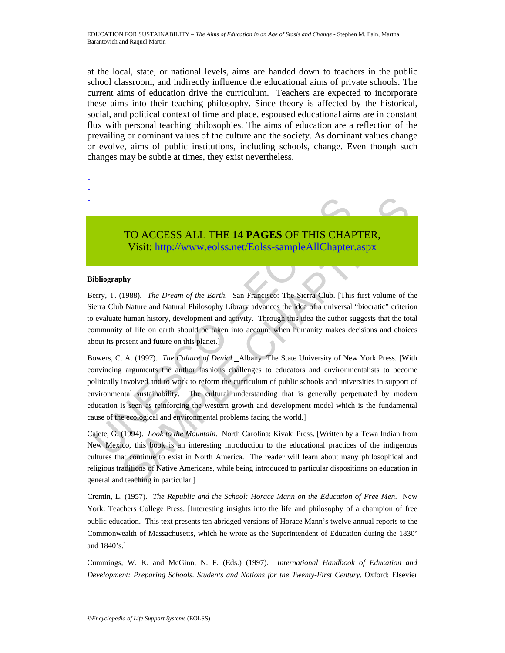at the local, state, or national levels, aims are handed down to teachers in the public school classroom, and indirectly influence the educational aims of private schools. The current aims of education drive the curriculum. Teachers are expected to incorporate these aims into their teaching philosophy. Since theory is affected by the historical, social, and political context of time and place, espoused educational aims are in constant flux with personal teaching philosophies. The aims of education are a reflection of the prevailing or dominant values of the culture and the society. As dominant values change or evolve, aims of public institutions, including schools, change. Even though such changes may be subtle at times, they exist nevertheless.

# TO ACCESS ALL THE **14 PAGES** OF THIS CHAPTER, Visit: http://www.eolss.net/Eolss-sampleAllChapter.aspx

#### **Bibliography**

- - -

Berry, T. (1988). *The Dream of the Earth*. San Francisco: The Sierra Club. [This first volume of the Sierra Club Nature and Natural Philosophy Library advances the idea of a universal "biocratic" criterion to evaluate human history, development and activity. Through this idea the author suggests that the total community of life on earth should be taken into account when humanity makes decisions and choices about its present and future on this planet.]

TO ACCESS ALL THE 14 PAGES OF THIS CHA<br>Visit: http://www.colss.net/Eolss-sampleAllChapter<br>ibliography<br>individend the *Barth*. San Francisco: The Sierra Club. [This<br>iera Club Nature and Natural Philosophy Library advances t **TO ACCESS ALL THE 14 PAGES OF THIS CHAP[TER](https://www.eolss.net/ebooklib/sc_cart.aspx?File=E6-61-01-01),**<br>Visit: http://www.eolss.net/Eolss-sampleAllChapter.aspx<br>by<br>(1988). The Dream of the Earth. San Francisco: The Sierra Club. [This first volume of th<br>Nature and Natural Philosop Bowers, C. A. (1997). *The Culture of Denial.* Albany: The State University of New York Press. [With convincing arguments the author fashions challenges to educators and environmentalists to become politically involved and to work to reform the curriculum of public schools and universities in support of environmental sustainability. The cultural understanding that is generally perpetuated by modern education is seen as reinforcing the western growth and development model which is the fundamental cause of the ecological and environmental problems facing the world.]

Cajete, G. (1994). *Look to the Mountain*. North Carolina: Kivaki Press. [Written by a Tewa Indian from New Mexico, this book is an interesting introduction to the educational practices of the indigenous cultures that continue to exist in North America. The reader will learn about many philosophical and religious traditions of Native Americans, while being introduced to particular dispositions on education in general and teaching in particular.]

Cremin, L. (1957). *The Republic and the School: Horace Mann on the Education of Free Men*. New York: Teachers College Press. [Interesting insights into the life and philosophy of a champion of free public education. This text presents ten abridged versions of Horace Mann's twelve annual reports to the Commonwealth of Massachusetts, which he wrote as the Superintendent of Education during the 1830' and 1840's.]

Cummings, W. K. and McGinn, N. F. (Eds.) (1997). *International Handbook of Education and Development: Preparing Schools. Students and Nations for the Twenty-First Century*. Oxford: Elsevier